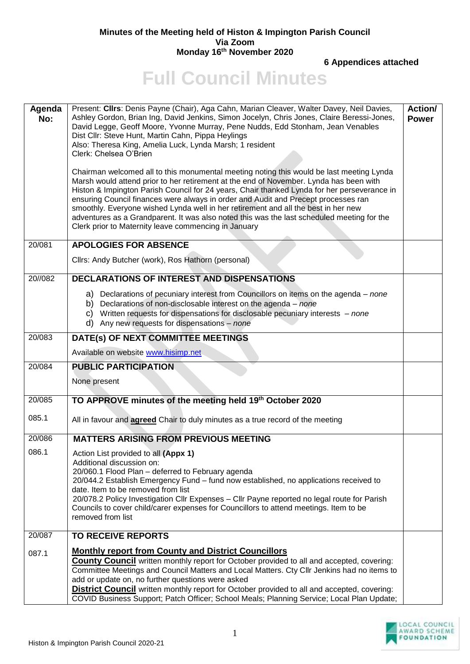## **Minutes of the Meeting held of Histon & Impington Parish Council Via Zoom Monday 16th November 2020**

**6 Appendices attached**

**Full Council Minutes** 

| Agenda<br>No: | Present: Cllrs: Denis Payne (Chair), Aga Cahn, Marian Cleaver, Walter Davey, Neil Davies,<br>Ashley Gordon, Brian Ing, David Jenkins, Simon Jocelyn, Chris Jones, Claire Beressi-Jones,<br>David Legge, Geoff Moore, Yvonne Murray, Pene Nudds, Edd Stonham, Jean Venables<br>Dist Cllr: Steve Hunt, Martin Cahn, Pippa Heylings<br>Also: Theresa King, Amelia Luck, Lynda Marsh; 1 resident<br>Clerk: Chelsea O'Brien<br>Chairman welcomed all to this monumental meeting noting this would be last meeting Lynda<br>Marsh would attend prior to her retirement at the end of November. Lynda has been with<br>Histon & Impington Parish Council for 24 years, Chair thanked Lynda for her perseverance in<br>ensuring Council finances were always in order and Audit and Precept processes ran<br>smoothly. Everyone wished Lynda well in her retirement and all the best in her new<br>adventures as a Grandparent. It was also noted this was the last scheduled meeting for the<br>Clerk prior to Maternity leave commencing in January | <b>Action/</b><br><b>Power</b> |
|---------------|-----------------------------------------------------------------------------------------------------------------------------------------------------------------------------------------------------------------------------------------------------------------------------------------------------------------------------------------------------------------------------------------------------------------------------------------------------------------------------------------------------------------------------------------------------------------------------------------------------------------------------------------------------------------------------------------------------------------------------------------------------------------------------------------------------------------------------------------------------------------------------------------------------------------------------------------------------------------------------------------------------------------------------------------------|--------------------------------|
| 20/081        | <b>APOLOGIES FOR ABSENCE</b>                                                                                                                                                                                                                                                                                                                                                                                                                                                                                                                                                                                                                                                                                                                                                                                                                                                                                                                                                                                                                  |                                |
|               | Cllrs: Andy Butcher (work), Ros Hathorn (personal)                                                                                                                                                                                                                                                                                                                                                                                                                                                                                                                                                                                                                                                                                                                                                                                                                                                                                                                                                                                            |                                |
| 20//082       | <b>DECLARATIONS OF INTEREST AND DISPENSATIONS</b>                                                                                                                                                                                                                                                                                                                                                                                                                                                                                                                                                                                                                                                                                                                                                                                                                                                                                                                                                                                             |                                |
|               | a) Declarations of pecuniary interest from Councillors on items on the agenda – none<br>b) Declarations of non-disclosable interest on the agenda $-$ none<br>c) Written requests for dispensations for disclosable pecuniary interests $-$ none<br>d) Any new requests for dispensations $-$ none                                                                                                                                                                                                                                                                                                                                                                                                                                                                                                                                                                                                                                                                                                                                            |                                |
| 20/083        | DATE(s) OF NEXT COMMITTEE MEETINGS                                                                                                                                                                                                                                                                                                                                                                                                                                                                                                                                                                                                                                                                                                                                                                                                                                                                                                                                                                                                            |                                |
|               | Available on website www.hisimp.net                                                                                                                                                                                                                                                                                                                                                                                                                                                                                                                                                                                                                                                                                                                                                                                                                                                                                                                                                                                                           |                                |
| 20/084        | <b>PUBLIC PARTICIPATION</b>                                                                                                                                                                                                                                                                                                                                                                                                                                                                                                                                                                                                                                                                                                                                                                                                                                                                                                                                                                                                                   |                                |
|               | None present                                                                                                                                                                                                                                                                                                                                                                                                                                                                                                                                                                                                                                                                                                                                                                                                                                                                                                                                                                                                                                  |                                |
| 20/085        | TO APPROVE minutes of the meeting held 19th October 2020                                                                                                                                                                                                                                                                                                                                                                                                                                                                                                                                                                                                                                                                                                                                                                                                                                                                                                                                                                                      |                                |
| 085.1         | All in favour and <b>agreed</b> Chair to duly minutes as a true record of the meeting                                                                                                                                                                                                                                                                                                                                                                                                                                                                                                                                                                                                                                                                                                                                                                                                                                                                                                                                                         |                                |
| 20/086        | <b>MATTERS ARISING FROM PREVIOUS MEETING</b>                                                                                                                                                                                                                                                                                                                                                                                                                                                                                                                                                                                                                                                                                                                                                                                                                                                                                                                                                                                                  |                                |
| 086.1         | Action List provided to all (Appx 1)<br>Additional discussion on:<br>20/060.1 Flood Plan - deferred to February agenda<br>20/044.2 Establish Emergency Fund - fund now established, no applications received to<br>date. Item to be removed from list<br>20/078.2 Policy Investigation Cllr Expenses - Cllr Payne reported no legal route for Parish<br>Councils to cover child/carer expenses for Councillors to attend meetings. Item to be<br>removed from list                                                                                                                                                                                                                                                                                                                                                                                                                                                                                                                                                                            |                                |
| 20/087        | <b>TO RECEIVE REPORTS</b>                                                                                                                                                                                                                                                                                                                                                                                                                                                                                                                                                                                                                                                                                                                                                                                                                                                                                                                                                                                                                     |                                |
| 087.1         | <b>Monthly report from County and District Councillors</b><br><b>County Council</b> written monthly report for October provided to all and accepted, covering:<br>Committee Meetings and Council Matters and Local Matters. Cty Cllr Jenkins had no items to<br>add or update on, no further questions were asked<br><b>District Council</b> written monthly report for October provided to all and accepted, covering:<br>COVID Business Support; Patch Officer; School Meals; Planning Service; Local Plan Update;                                                                                                                                                                                                                                                                                                                                                                                                                                                                                                                          |                                |

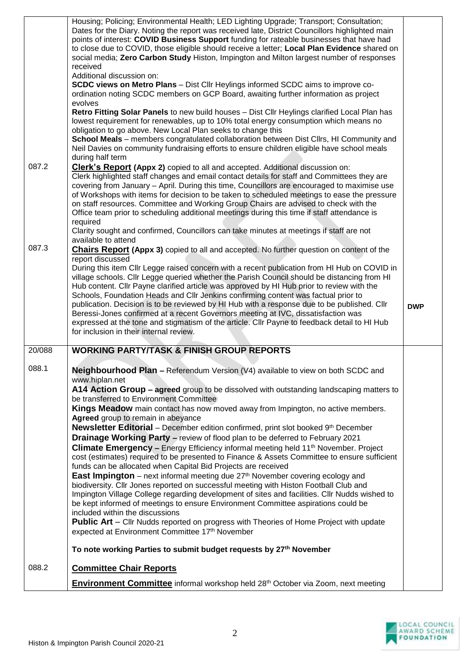|        | Housing; Policing; Environmental Health; LED Lighting Upgrade; Transport; Consultation;<br>Dates for the Diary. Noting the report was received late, District Councillors highlighted main<br>points of interest: COVID Business Support funding for rateable businesses that have had<br>to close due to COVID, those eligible should receive a letter; Local Plan Evidence shared on<br>social media; Zero Carbon Study Histon, Impington and Milton largest number of responses<br>received<br>Additional discussion on:<br><b>SCDC views on Metro Plans</b> - Dist Cllr Heylings informed SCDC aims to improve co-<br>ordination noting SCDC members on GCP Board, awaiting further information as project<br>evolves<br>Retro Fitting Solar Panels to new build houses - Dist Cllr Heylings clarified Local Plan has<br>lowest requirement for renewables, up to 10% total energy consumption which means no<br>obligation to go above. New Local Plan seeks to change this<br>School Meals - members congratulated collaboration between Dist Cllrs, HI Community and<br>Neil Davies on community fundraising efforts to ensure children eligible have school meals<br>during half term                                                                                                                                                                                                                                                                                               |            |
|--------|---------------------------------------------------------------------------------------------------------------------------------------------------------------------------------------------------------------------------------------------------------------------------------------------------------------------------------------------------------------------------------------------------------------------------------------------------------------------------------------------------------------------------------------------------------------------------------------------------------------------------------------------------------------------------------------------------------------------------------------------------------------------------------------------------------------------------------------------------------------------------------------------------------------------------------------------------------------------------------------------------------------------------------------------------------------------------------------------------------------------------------------------------------------------------------------------------------------------------------------------------------------------------------------------------------------------------------------------------------------------------------------------------------------------------------------------------------------------------------------------|------------|
| 087.2  | <b>Clerk's Report (Appx 2)</b> copied to all and accepted. Additional discussion on:<br>Clerk highlighted staff changes and email contact details for staff and Committees they are<br>covering from January - April. During this time, Councillors are encouraged to maximise use<br>of Workshops with items for decision to be taken to scheduled meetings to ease the pressure<br>on staff resources. Committee and Working Group Chairs are advised to check with the<br>Office team prior to scheduling additional meetings during this time if staff attendance is<br>required<br>Clarity sought and confirmed, Councillors can take minutes at meetings if staff are not<br>available to attend                                                                                                                                                                                                                                                                                                                                                                                                                                                                                                                                                                                                                                                                                                                                                                                      |            |
| 087.3  | <b>Chairs Report (Appx 3)</b> copied to all and accepted. No further question on content of the<br>report discussed<br>During this item Cllr Legge raised concern with a recent publication from HI Hub on COVID in<br>village schools. Cllr Legge queried whether the Parish Council should be distancing from HI<br>Hub content. Cllr Payne clarified article was approved by HI Hub prior to review with the<br>Schools, Foundation Heads and Cllr Jenkins confirming content was factual prior to<br>publication. Decision is to be reviewed by HI Hub with a response due to be published. Cllr<br>Beressi-Jones confirmed at a recent Governors meeting at IVC, dissatisfaction was<br>expressed at the tone and stigmatism of the article. Cllr Payne to feedback detail to HI Hub<br>for inclusion in their internal review.                                                                                                                                                                                                                                                                                                                                                                                                                                                                                                                                                                                                                                                        | <b>DWP</b> |
| 20/088 | <b>WORKING PARTY/TASK &amp; FINISH GROUP REPORTS</b>                                                                                                                                                                                                                                                                                                                                                                                                                                                                                                                                                                                                                                                                                                                                                                                                                                                                                                                                                                                                                                                                                                                                                                                                                                                                                                                                                                                                                                        |            |
| 088.1  | Neighbourhood Plan - Referendum Version (V4) available to view on both SCDC and<br>www.hiplan.net<br>A14 Action Group - agreed group to be dissolved with outstanding landscaping matters to<br>be transferred to Environment Committee<br>Kings Meadow main contact has now moved away from Impington, no active members.<br>Agreed group to remain in abeyance<br><b>Newsletter Editorial</b> – December edition confirmed, print slot booked 9 <sup>th</sup> December<br><b>Drainage Working Party - review of flood plan to be deferred to February 2021</b><br><b>Climate Emergency - Energy Efficiency informal meeting held 11<sup>th</sup> November. Project</b><br>cost (estimates) required to be presented to Finance & Assets Committee to ensure sufficient<br>funds can be allocated when Capital Bid Projects are received<br><b>East Impington</b> – next informal meeting due $27th$ November covering ecology and<br>biodiversity. Cllr Jones reported on successful meeting with Histon Football Club and<br>Impington Village College regarding development of sites and facilities. Cllr Nudds wished to<br>be kept informed of meetings to ensure Environment Committee aspirations could be<br>included within the discussions<br><b>Public Art</b> – Cllr Nudds reported on progress with Theories of Home Project with update<br>expected at Environment Committee 17th November<br>To note working Parties to submit budget requests by 27 <sup>th</sup> November |            |
| 088.2  | <b>Committee Chair Reports</b>                                                                                                                                                                                                                                                                                                                                                                                                                                                                                                                                                                                                                                                                                                                                                                                                                                                                                                                                                                                                                                                                                                                                                                                                                                                                                                                                                                                                                                                              |            |
|        | Environment Committee informal workshop held 28 <sup>th</sup> October via Zoom, next meeting                                                                                                                                                                                                                                                                                                                                                                                                                                                                                                                                                                                                                                                                                                                                                                                                                                                                                                                                                                                                                                                                                                                                                                                                                                                                                                                                                                                                |            |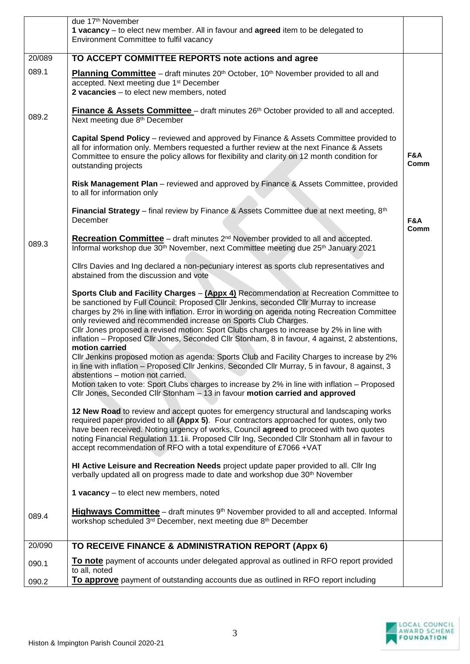|        | due 17th November<br>1 vacancy – to elect new member. All in favour and agreed item to be delegated to<br>Environment Committee to fulfil vacancy                                                                                                                                                                                                                                                                                                                                                                                                                 |             |
|--------|-------------------------------------------------------------------------------------------------------------------------------------------------------------------------------------------------------------------------------------------------------------------------------------------------------------------------------------------------------------------------------------------------------------------------------------------------------------------------------------------------------------------------------------------------------------------|-------------|
| 20/089 | TO ACCEPT COMMITTEE REPORTS note actions and agree                                                                                                                                                                                                                                                                                                                                                                                                                                                                                                                |             |
| 089.1  | <b>Planning Committee</b> – draft minutes 20 <sup>th</sup> October, 10 <sup>th</sup> November provided to all and<br>accepted. Next meeting due 1 <sup>st</sup> December<br>2 vacancies - to elect new members, noted                                                                                                                                                                                                                                                                                                                                             |             |
| 089.2  | <b>Finance &amp; Assets Committee</b> – draft minutes 26 <sup>th</sup> October provided to all and accepted.<br>Next meeting due 8th December                                                                                                                                                                                                                                                                                                                                                                                                                     |             |
|        | <b>Capital Spend Policy</b> – reviewed and approved by Finance & Assets Committee provided to<br>all for information only. Members requested a further review at the next Finance & Assets<br>Committee to ensure the policy allows for flexibility and clarity on 12 month condition for<br>outstanding projects                                                                                                                                                                                                                                                 | F&A<br>Comm |
|        | Risk Management Plan - reviewed and approved by Finance & Assets Committee, provided<br>to all for information only                                                                                                                                                                                                                                                                                                                                                                                                                                               |             |
|        | Financial Strategy - final review by Finance & Assets Committee due at next meeting, 8th<br>December                                                                                                                                                                                                                                                                                                                                                                                                                                                              | F&A<br>Comm |
| 089.3  | <b>Recreation Committee</b> – draft minutes $2^{nd}$ November provided to all and accepted.<br>Informal workshop due 30 <sup>th</sup> November, next Committee meeting due 25 <sup>th</sup> January 2021                                                                                                                                                                                                                                                                                                                                                          |             |
|        | Cllrs Davies and Ing declared a non-pecuniary interest as sports club representatives and<br>abstained from the discussion and vote                                                                                                                                                                                                                                                                                                                                                                                                                               |             |
|        | Sports Club and Facility Charges - (Appx 4) Recommendation at Recreation Committee to<br>be sanctioned by Full Council: Proposed Cllr Jenkins, seconded Cllr Murray to increase<br>charges by 2% in line with inflation. Error in wording on agenda noting Recreation Committee<br>only reviewed and recommended increase on Sports Club Charges.<br>Cllr Jones proposed a revised motion: Sport Clubs charges to increase by 2% in line with<br>inflation - Proposed Cllr Jones, Seconded Cllr Stonham, 8 in favour, 4 against, 2 abstentions,<br>motion carried |             |
|        | CIIr Jenkins proposed motion as agenda: Sports Club and Facility Charges to increase by 2%<br>in line with inflation - Proposed Cllr Jenkins, Seconded Cllr Murray, 5 in favour, 8 against, 3<br>abstentions - motion not carried.<br>Motion taken to vote: Sport Clubs charges to increase by 2% in line with inflation - Proposed<br>Cllr Jones, Seconded Cllr Stonham - 13 in favour motion carried and approved                                                                                                                                               |             |
|        | 12 New Road to review and accept quotes for emergency structural and landscaping works<br>required paper provided to all (Appx 5). Four contractors approached for quotes, only two<br>have been received. Noting urgency of works, Council agreed to proceed with two quotes<br>noting Financial Regulation 11.1ii. Proposed Cllr Ing, Seconded Cllr Stonham all in favour to<br>accept recommendation of RFO with a total expenditure of £7066 +VAT                                                                                                             |             |
|        | HI Active Leisure and Recreation Needs project update paper provided to all. Cllr Ing<br>verbally updated all on progress made to date and workshop due 30 <sup>th</sup> November                                                                                                                                                                                                                                                                                                                                                                                 |             |
|        | 1 vacancy - to elect new members, noted                                                                                                                                                                                                                                                                                                                                                                                                                                                                                                                           |             |
| 089.4  | Highways Committee - draft minutes 9 <sup>th</sup> November provided to all and accepted. Informal<br>workshop scheduled 3rd December, next meeting due 8th December                                                                                                                                                                                                                                                                                                                                                                                              |             |
| 20/090 | TO RECEIVE FINANCE & ADMINISTRATION REPORT (Appx 6)                                                                                                                                                                                                                                                                                                                                                                                                                                                                                                               |             |
| 090.1  | To note payment of accounts under delegated approval as outlined in RFO report provided<br>to all, noted                                                                                                                                                                                                                                                                                                                                                                                                                                                          |             |
| 090.2  | To approve payment of outstanding accounts due as outlined in RFO report including                                                                                                                                                                                                                                                                                                                                                                                                                                                                                |             |

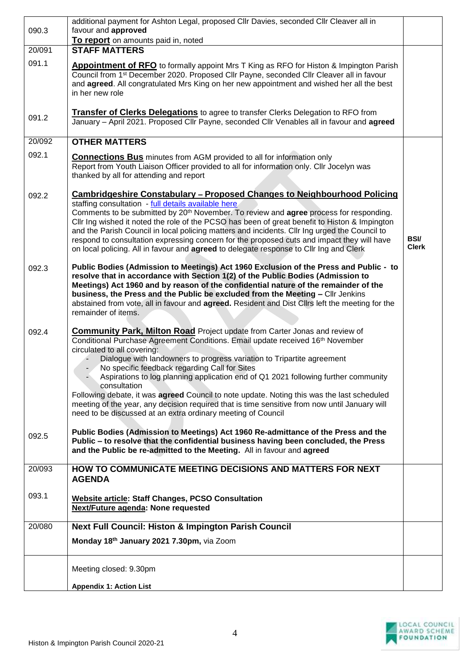| 090.3               | additional payment for Ashton Legal, proposed Cllr Davies, seconded Cllr Cleaver all in<br>favour and approved                                                                                                                                                                                                                                                                                                                                                                                                                                                                                                                                                                                                          |                             |
|---------------------|-------------------------------------------------------------------------------------------------------------------------------------------------------------------------------------------------------------------------------------------------------------------------------------------------------------------------------------------------------------------------------------------------------------------------------------------------------------------------------------------------------------------------------------------------------------------------------------------------------------------------------------------------------------------------------------------------------------------------|-----------------------------|
|                     | To report on amounts paid in, noted                                                                                                                                                                                                                                                                                                                                                                                                                                                                                                                                                                                                                                                                                     |                             |
| 20/091              | <b>STAFF MATTERS</b>                                                                                                                                                                                                                                                                                                                                                                                                                                                                                                                                                                                                                                                                                                    |                             |
| 091.1               | <b>Appointment of RFO</b> to formally appoint Mrs T King as RFO for Histon & Impington Parish<br>Council from 1 <sup>st</sup> December 2020. Proposed Cllr Payne, seconded Cllr Cleaver all in favour<br>and agreed. All congratulated Mrs King on her new appointment and wished her all the best<br>in her new role                                                                                                                                                                                                                                                                                                                                                                                                   |                             |
| 091.2               | <b>Transfer of Clerks Delegations</b> to agree to transfer Clerks Delegation to RFO from<br>January - April 2021. Proposed Cllr Payne, seconded Cllr Venables all in favour and agreed                                                                                                                                                                                                                                                                                                                                                                                                                                                                                                                                  |                             |
| $\overline{20/092}$ | <b>OTHER MATTERS</b>                                                                                                                                                                                                                                                                                                                                                                                                                                                                                                                                                                                                                                                                                                    |                             |
| 092.1               | <b>Connections Bus</b> minutes from AGM provided to all for information only<br>Report from Youth Liaison Officer provided to all for information only. Cllr Jocelyn was<br>thanked by all for attending and report                                                                                                                                                                                                                                                                                                                                                                                                                                                                                                     |                             |
| 092.2               | <b>Cambridgeshire Constabulary - Proposed Changes to Neighbourhood Policing</b><br>staffing consultation - full details available here<br>Comments to be submitted by 20 <sup>th</sup> November. To review and <b>agree</b> process for responding.<br>Cllr Ing wished it noted the role of the PCSO has been of great benefit to Histon & Impington<br>and the Parish Council in local policing matters and incidents. Cllr Ing urged the Council to<br>respond to consultation expressing concern for the proposed cuts and impact they will have<br>on local policing. All in favour and agreed to delegate response to Cllr Ing and Clerk                                                                           | <b>BSI/</b><br><b>Clerk</b> |
| 092.3               | Public Bodies (Admission to Meetings) Act 1960 Exclusion of the Press and Public - to<br>resolve that in accordance with Section 1(2) of the Public Bodies (Admission to<br>Meetings) Act 1960 and by reason of the confidential nature of the remainder of the<br>business, the Press and the Public be excluded from the Meeting - Cllr Jenkins<br>abstained from vote, all in favour and agreed. Resident and Dist Cllrs left the meeting for the<br>remainder of items.                                                                                                                                                                                                                                             |                             |
| 092.4               | <b>Community Park, Milton Road</b> Project update from Carter Jonas and review of<br>Conditional Purchase Agreement Conditions. Email update received 16 <sup>th</sup> November<br>circulated to all covering:<br>Dialogue with landowners to progress variation to Tripartite agreement<br>- No specific feedback regarding Call for Sites<br>Aspirations to log planning application end of Q1 2021 following further community<br>consultation<br>Following debate, it was <b>agreed</b> Council to note update. Noting this was the last scheduled<br>meeting of the year, any decision required that is time sensitive from now until January will<br>need to be discussed at an extra ordinary meeting of Council |                             |
| 092.5               | Public Bodies (Admission to Meetings) Act 1960 Re-admittance of the Press and the<br>Public - to resolve that the confidential business having been concluded, the Press<br>and the Public be re-admitted to the Meeting. All in favour and agreed                                                                                                                                                                                                                                                                                                                                                                                                                                                                      |                             |
| 20/093              | HOW TO COMMUNICATE MEETING DECISIONS AND MATTERS FOR NEXT<br><b>AGENDA</b>                                                                                                                                                                                                                                                                                                                                                                                                                                                                                                                                                                                                                                              |                             |
| 093.1               | Website article: Staff Changes, PCSO Consultation<br><b>Next/Future agenda: None requested</b>                                                                                                                                                                                                                                                                                                                                                                                                                                                                                                                                                                                                                          |                             |
| 20/080              | <b>Next Full Council: Histon &amp; Impington Parish Council</b>                                                                                                                                                                                                                                                                                                                                                                                                                                                                                                                                                                                                                                                         |                             |
|                     | Monday 18th January 2021 7.30pm, via Zoom                                                                                                                                                                                                                                                                                                                                                                                                                                                                                                                                                                                                                                                                               |                             |
|                     | Meeting closed: 9.30pm                                                                                                                                                                                                                                                                                                                                                                                                                                                                                                                                                                                                                                                                                                  |                             |
|                     | <b>Appendix 1: Action List</b>                                                                                                                                                                                                                                                                                                                                                                                                                                                                                                                                                                                                                                                                                          |                             |